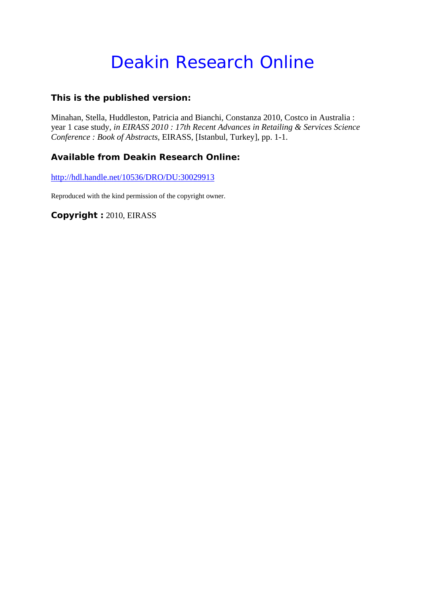# Deakin Research Online

### **This is the published version:**

Minahan, Stella, Huddleston, Patricia and Bianchi, Constanza 2010, Costco in Australia : year 1 case study*, in EIRASS 2010 : 17th Recent Advances in Retailing & Services Science Conference : Book of Abstracts*, EIRASS, [Istanbul, Turkey], pp. 1-1.

## **Available from Deakin Research Online:**

http://hdl.handle.net/10536/DRO/DU:30029913

Reproduced with the kind permission of the copyright owner.

**Copyright :** 2010, EIRASS